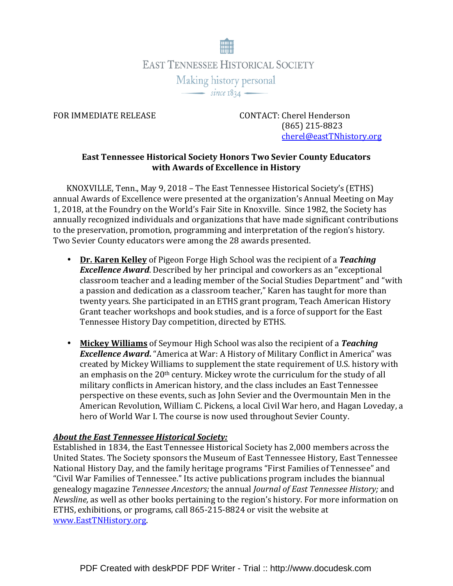

FOR IMMEDIATE RELEASE CONTACT: Cherel Henderson (865) 215-8823 cherel@eastTNhistory.org

## East Tennessee Historical Society Honors Two Sevier County Educators with Awards of Excellence in History

KNOXVILLE, Tenn., May 9, 2018 – The East Tennessee Historical Society's (ETHS) annual Awards of Excellence were presented at the organization's Annual Meeting on May 1, 2018, at the Foundry on the World's Fair Site in Knoxville. Since 1982, the Society has annually recognized individuals and organizations that have made significant contributions to the preservation, promotion, programming and interpretation of the region's history. Two Sevier County educators were among the 28 awards presented.

- Dr. Karen Kelley of Pigeon Forge High School was the recipient of a Teaching **Excellence Award.** Described by her principal and coworkers as an "exceptional classroom teacher and a leading member of the Social Studies Department" and "with a passion and dedication as a classroom teacher," Karen has taught for more than twenty years. She participated in an ETHS grant program, Teach American History Grant teacher workshops and book studies, and is a force of support for the East Tennessee History Day competition, directed by ETHS.
- Mickey Williams of Seymour High School was also the recipient of a Teaching **Excellence Award.** "America at War: A History of Military Conflict in America" was created by Mickey Williams to supplement the state requirement of U.S. history with an emphasis on the  $20<sup>th</sup>$  century. Mickey wrote the curriculum for the study of all military conflicts in American history, and the class includes an East Tennessee perspective on these events, such as John Sevier and the Overmountain Men in the American Revolution, William C. Pickens, a local Civil War hero, and Hagan Loveday, a hero of World War I. The course is now used throughout Sevier County.

## About the East Tennessee Historical Society:

Established in 1834, the East Tennessee Historical Society has 2,000 members across the United States. The Society sponsors the Museum of East Tennessee History, East Tennessee National History Day, and the family heritage programs "First Families of Tennessee" and "Civil War Families of Tennessee." Its active publications program includes the biannual genealogy magazine Tennessee Ancestors; the annual Journal of East Tennessee History; and Newsline, as well as other books pertaining to the region's history. For more information on ETHS, exhibitions, or programs, call 865-215-8824 or visit the website at www.EastTNHistory.org.